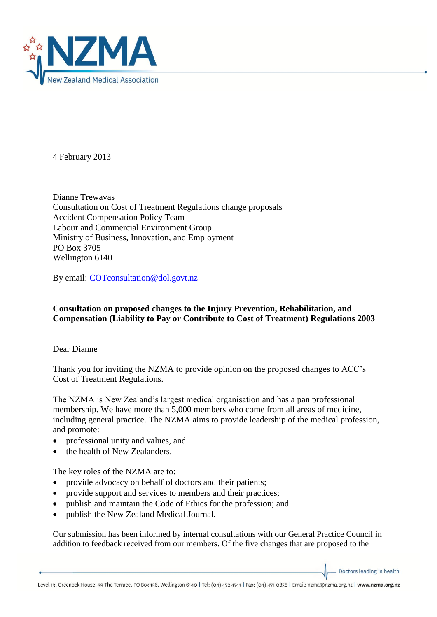

4 February 2013

Dianne Trewavas Consultation on Cost of Treatment Regulations change proposals Accident Compensation Policy Team Labour and Commercial Environment Group Ministry of Business, Innovation, and Employment PO Box 3705 Wellington 6140

By email: [COTconsultation@dol.govt.nz](mailto:COTconsultation@dol.govt.nz)

## **Consultation on proposed changes to the Injury Prevention, Rehabilitation, and Compensation (Liability to Pay or Contribute to Cost of Treatment) Regulations 2003**

Dear Dianne

Thank you for inviting the NZMA to provide opinion on the proposed changes to ACC's Cost of Treatment Regulations.

The NZMA is New Zealand's largest medical organisation and has a pan professional membership. We have more than 5,000 members who come from all areas of medicine, including general practice. The NZMA aims to provide leadership of the medical profession, and promote:

- professional unity and values, and
- the health of New Zealanders.

The key roles of the NZMA are to:

- provide advocacy on behalf of doctors and their patients;
- provide support and services to members and their practices;
- publish and maintain the Code of Ethics for the profession; and
- publish the New Zealand Medical Journal.

Our submission has been informed by internal consultations with our General Practice Council in addition to feedback received from our members. Of the five changes that are proposed to the

Doctors leading in health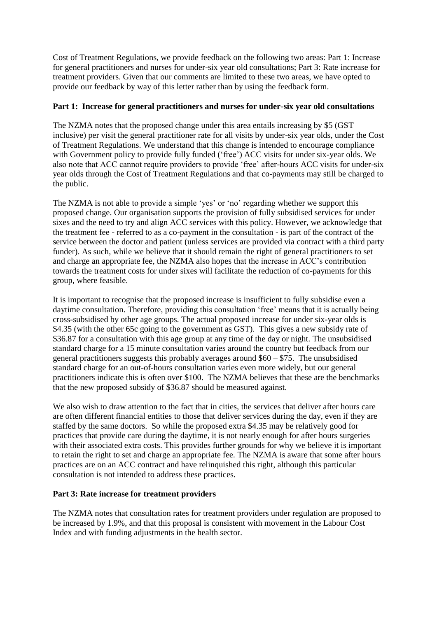Cost of Treatment Regulations, we provide feedback on the following two areas: Part 1: Increase for general practitioners and nurses for under-six year old consultations; Part 3: Rate increase for treatment providers. Given that our comments are limited to these two areas, we have opted to provide our feedback by way of this letter rather than by using the feedback form.

## **Part 1: Increase for general practitioners and nurses for under-six year old consultations**

The NZMA notes that the proposed change under this area entails increasing by \$5 (GST inclusive) per visit the general practitioner rate for all visits by under-six year olds, under the Cost of Treatment Regulations. We understand that this change is intended to encourage compliance with Government policy to provide fully funded ('free') ACC visits for under six-year olds. We also note that ACC cannot require providers to provide 'free' after-hours ACC visits for under-six year olds through the Cost of Treatment Regulations and that co-payments may still be charged to the public.

The NZMA is not able to provide a simple 'yes' or 'no' regarding whether we support this proposed change. Our organisation supports the provision of fully subsidised services for under sixes and the need to try and align ACC services with this policy. However, we acknowledge that the treatment fee - referred to as a co-payment in the consultation - is part of the contract of the service between the doctor and patient (unless services are provided via contract with a third party funder). As such, while we believe that it should remain the right of general practitioners to set and charge an appropriate fee, the NZMA also hopes that the increase in ACC's contribution towards the treatment costs for under sixes will facilitate the reduction of co-payments for this group, where feasible.

It is important to recognise that the proposed increase is insufficient to fully subsidise even a daytime consultation. Therefore, providing this consultation 'free' means that it is actually being cross-subsidised by other age groups. The actual proposed increase for under six-year olds is \$4.35 (with the other 65c going to the government as GST). This gives a new subsidy rate of \$36.87 for a consultation with this age group at any time of the day or night. The unsubsidised standard charge for a 15 minute consultation varies around the country but feedback from our general practitioners suggests this probably averages around \$60 – \$75. The unsubsidised standard charge for an out-of-hours consultation varies even more widely, but our general practitioners indicate this is often over \$100. The NZMA believes that these are the benchmarks that the new proposed subsidy of \$36.87 should be measured against.

We also wish to draw attention to the fact that in cities, the services that deliver after hours care are often different financial entities to those that deliver services during the day, even if they are staffed by the same doctors. So while the proposed extra \$4.35 may be relatively good for practices that provide care during the daytime, it is not nearly enough for after hours surgeries with their associated extra costs. This provides further grounds for why we believe it is important to retain the right to set and charge an appropriate fee. The NZMA is aware that some after hours practices are on an ACC contract and have relinquished this right, although this particular consultation is not intended to address these practices.

## **Part 3: Rate increase for treatment providers**

The NZMA notes that consultation rates for treatment providers under regulation are proposed to be increased by 1.9%, and that this proposal is consistent with movement in the Labour Cost Index and with funding adjustments in the health sector.